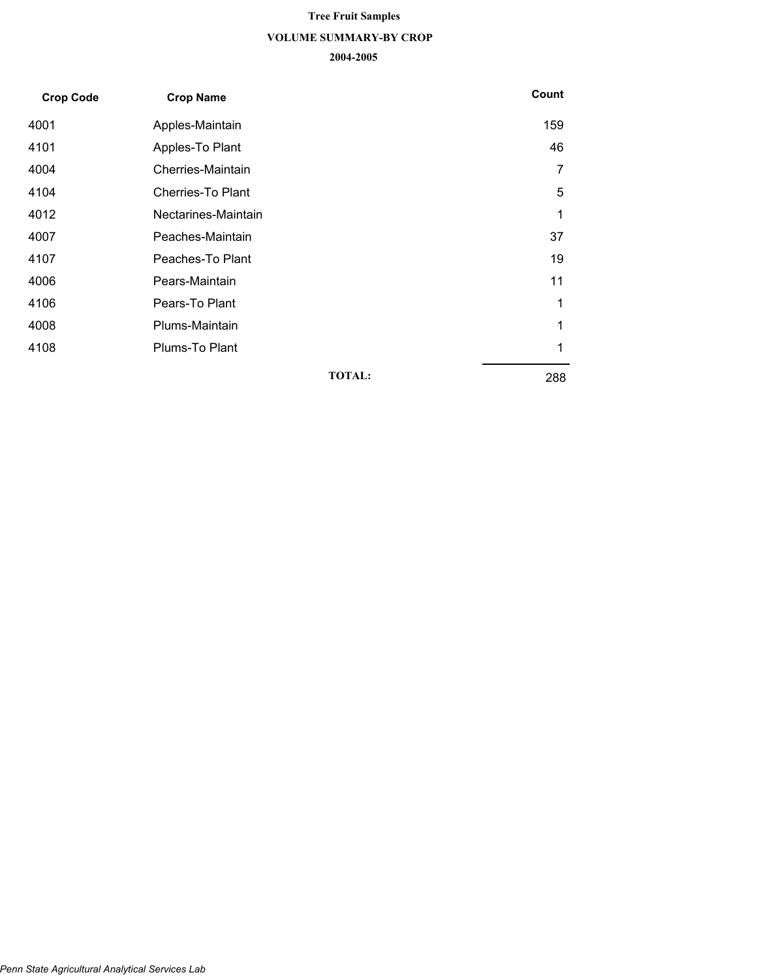# **VOLUME SUMMARY-BY CROP 2004-2005 Tree Fruit Samples**

| <b>Crop Code</b> | <b>Crop Name</b>         |               | Count |
|------------------|--------------------------|---------------|-------|
| 4001             | Apples-Maintain          |               | 159   |
| 4101             | Apples-To Plant          |               | 46    |
| 4004             | Cherries-Maintain        |               | 7     |
| 4104             | <b>Cherries-To Plant</b> |               | 5     |
| 4012             | Nectarines-Maintain      |               | 1     |
| 4007             | Peaches-Maintain         |               | 37    |
| 4107             | Peaches-To Plant         |               | 19    |
| 4006             | Pears-Maintain           |               | 11    |
| 4106             | Pears-To Plant           |               | 1     |
| 4008             | Plums-Maintain           |               | 1     |
| 4108             | Plums-To Plant           |               | 1     |
|                  |                          | <b>TOTAL:</b> | 288   |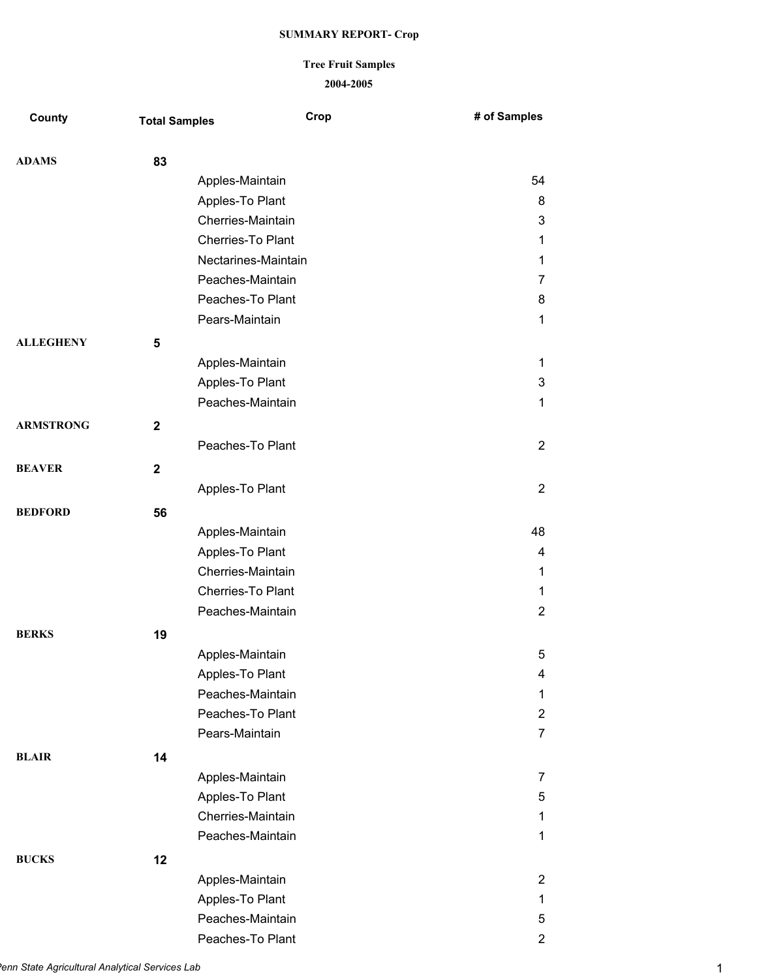## **2004-2005 Tree Fruit Samples**

| County           | <b>Total Samples</b> | Crop                | # of Samples   |
|------------------|----------------------|---------------------|----------------|
| <b>ADAMS</b>     | 83                   |                     |                |
|                  |                      | Apples-Maintain     | 54             |
|                  |                      | Apples-To Plant     | 8              |
|                  |                      | Cherries-Maintain   | 3              |
|                  |                      | Cherries-To Plant   | $\mathbf 1$    |
|                  |                      | Nectarines-Maintain | $\mathbf{1}$   |
|                  |                      | Peaches-Maintain    | $\overline{7}$ |
|                  |                      | Peaches-To Plant    | 8              |
|                  |                      | Pears-Maintain      | $\mathbf{1}$   |
| <b>ALLEGHENY</b> | 5                    |                     |                |
|                  |                      | Apples-Maintain     | $\mathbf{1}$   |
|                  |                      | Apples-To Plant     | 3              |
|                  |                      | Peaches-Maintain    | $\mathbf{1}$   |
| <b>ARMSTRONG</b> | $\mathbf{2}$         |                     |                |
|                  |                      | Peaches-To Plant    | $\overline{2}$ |
| <b>BEAVER</b>    | $\mathbf 2$          |                     |                |
|                  |                      | Apples-To Plant     | $\overline{2}$ |
| <b>BEDFORD</b>   | 56                   |                     |                |
|                  |                      | Apples-Maintain     | 48             |
|                  |                      | Apples-To Plant     | 4              |
|                  |                      | Cherries-Maintain   | $\mathbf{1}$   |
|                  |                      | Cherries-To Plant   | 1              |
|                  |                      | Peaches-Maintain    | $\overline{2}$ |
| <b>BERKS</b>     | 19                   |                     |                |
|                  |                      | Apples-Maintain     | 5              |
|                  |                      | Apples-To Plant     | 4              |
|                  |                      | Peaches-Maintain    | 1              |
|                  |                      | Peaches-To Plant    | $\overline{2}$ |
|                  |                      | Pears-Maintain      | $\overline{7}$ |
| <b>BLAIR</b>     | 14                   |                     |                |
|                  |                      | Apples-Maintain     | 7              |
|                  |                      | Apples-To Plant     | 5              |
|                  |                      | Cherries-Maintain   | $\mathbf{1}$   |
|                  |                      | Peaches-Maintain    | $\mathbf{1}$   |
| <b>BUCKS</b>     | 12                   |                     |                |
|                  |                      | Apples-Maintain     | $\overline{2}$ |
|                  |                      | Apples-To Plant     | $\mathbf{1}$   |
|                  |                      | Peaches-Maintain    | 5              |
|                  |                      | Peaches-To Plant    | $\overline{c}$ |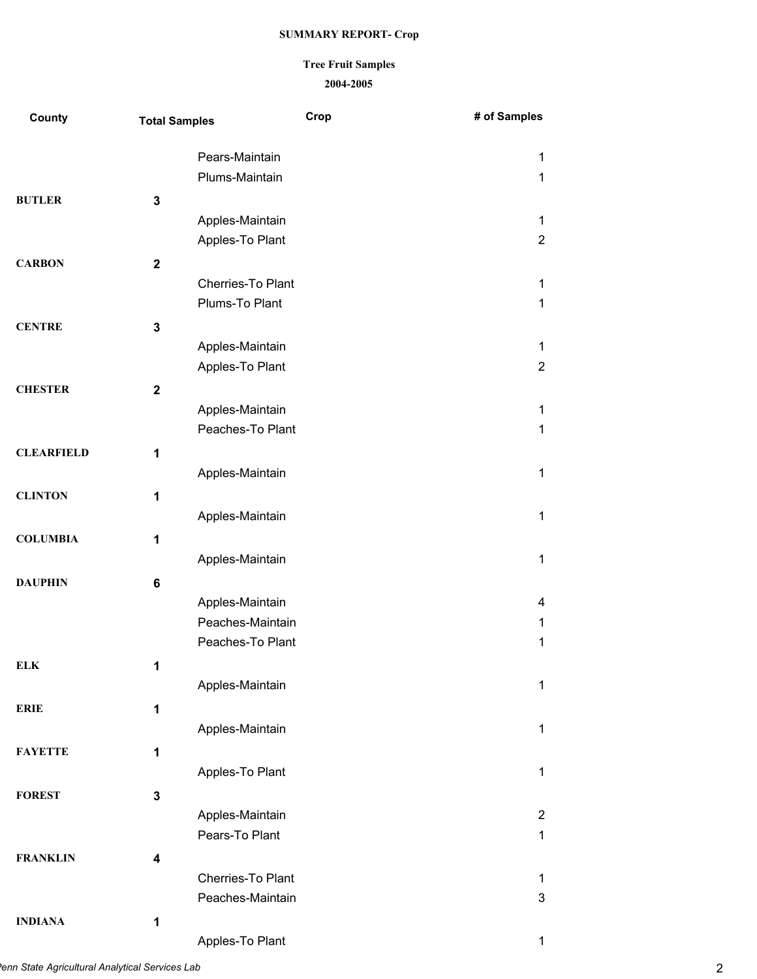## **2004-2005 Tree Fruit Samples**

| County            | <b>Total Samples</b>    | Crop                                | # of Samples   |
|-------------------|-------------------------|-------------------------------------|----------------|
|                   |                         | Pears-Maintain                      | 1              |
|                   |                         | Plums-Maintain                      | 1              |
| <b>BUTLER</b>     | $\mathbf 3$             |                                     |                |
|                   |                         | Apples-Maintain                     | 1              |
|                   |                         | Apples-To Plant                     | $\overline{2}$ |
| <b>CARBON</b>     | $\mathbf 2$             |                                     |                |
|                   |                         | Cherries-To Plant                   | 1              |
|                   |                         | Plums-To Plant                      | 1              |
| <b>CENTRE</b>     | $\mathbf 3$             |                                     |                |
|                   |                         | Apples-Maintain                     | 1              |
|                   |                         | Apples-To Plant                     | $\overline{2}$ |
| <b>CHESTER</b>    | $\mathbf{2}$            |                                     |                |
|                   |                         | Apples-Maintain                     | 1              |
|                   |                         | Peaches-To Plant                    | 1              |
| <b>CLEARFIELD</b> | $\mathbf{1}$            |                                     |                |
|                   |                         | Apples-Maintain                     | 1              |
| <b>CLINTON</b>    | 1                       |                                     |                |
|                   |                         | Apples-Maintain                     | 1              |
| <b>COLUMBIA</b>   | 1                       |                                     |                |
|                   |                         | Apples-Maintain                     | 1              |
|                   |                         |                                     |                |
| <b>DAUPHIN</b>    | $\bf 6$                 |                                     |                |
|                   |                         | Apples-Maintain<br>Peaches-Maintain | 4              |
|                   |                         | Peaches-To Plant                    | 1<br>1         |
|                   |                         |                                     |                |
| <b>ELK</b>        | 1                       |                                     |                |
|                   |                         | Apples-Maintain                     | 1              |
| <b>ERIE</b>       | $\mathbf 1$             |                                     |                |
|                   |                         | Apples-Maintain                     | 1              |
| <b>FAYETTE</b>    | $\mathbf{1}$            |                                     |                |
|                   |                         | Apples-To Plant                     | 1              |
| <b>FOREST</b>     | $\mathbf{3}$            |                                     |                |
|                   |                         | Apples-Maintain                     | $\overline{2}$ |
|                   |                         | Pears-To Plant                      | 1              |
| <b>FRANKLIN</b>   | $\overline{\mathbf{4}}$ |                                     |                |
|                   |                         | Cherries-To Plant                   | 1              |
|                   |                         | Peaches-Maintain                    | 3              |
| <b>INDIANA</b>    | 1                       |                                     |                |
|                   |                         | Apples-To Plant                     | 1              |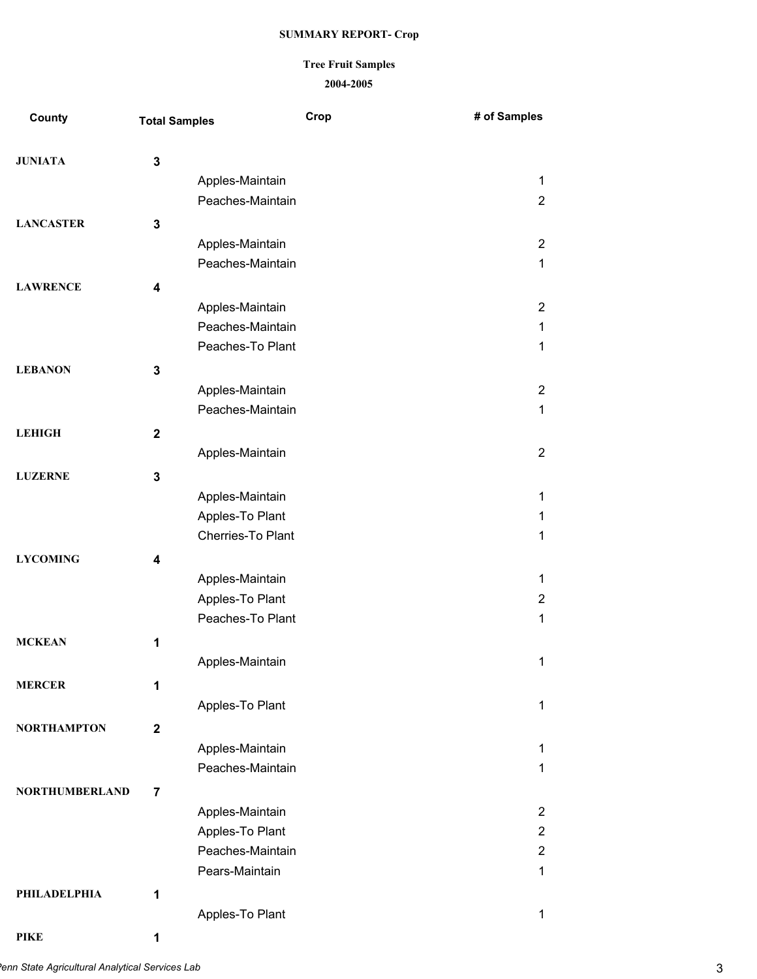#### **2004-2005 Tree Fruit Samples**

| County                | <b>Total Samples</b>    | Crop              | # of Samples   |
|-----------------------|-------------------------|-------------------|----------------|
| <b>JUNIATA</b>        | 3                       |                   |                |
|                       |                         | Apples-Maintain   | 1              |
|                       |                         | Peaches-Maintain  | $\overline{2}$ |
| <b>LANCASTER</b>      | 3                       |                   |                |
|                       |                         | Apples-Maintain   | $\overline{2}$ |
|                       |                         | Peaches-Maintain  | 1              |
| <b>LAWRENCE</b>       | 4                       |                   |                |
|                       |                         | Apples-Maintain   | $\overline{2}$ |
|                       |                         | Peaches-Maintain  | 1              |
|                       |                         | Peaches-To Plant  | 1              |
| <b>LEBANON</b>        | 3                       |                   |                |
|                       |                         | Apples-Maintain   | $\overline{2}$ |
|                       |                         | Peaches-Maintain  | 1              |
| <b>LEHIGH</b>         |                         |                   |                |
|                       | $\mathbf{2}$            | Apples-Maintain   | $\overline{2}$ |
|                       |                         |                   |                |
| <b>LUZERNE</b>        | 3                       |                   |                |
|                       |                         | Apples-Maintain   | 1              |
|                       |                         | Apples-To Plant   | 1              |
|                       |                         | Cherries-To Plant | 1              |
| <b>LYCOMING</b>       | 4                       |                   |                |
|                       |                         | Apples-Maintain   | 1              |
|                       |                         | Apples-To Plant   | $\overline{2}$ |
|                       |                         | Peaches-To Plant  | 1              |
| <b>MCKEAN</b>         | 1                       |                   |                |
|                       |                         | Apples-Maintain   | 1              |
| <b>MERCER</b>         | 1                       |                   |                |
|                       |                         | Apples-To Plant   | 1              |
| <b>NORTHAMPTON</b>    | $\mathbf 2$             |                   |                |
|                       |                         | Apples-Maintain   | 1              |
|                       |                         | Peaches-Maintain  | 1              |
| <b>NORTHUMBERLAND</b> | $\overline{\mathbf{7}}$ |                   |                |
|                       |                         | Apples-Maintain   | $\overline{2}$ |
|                       |                         | Apples-To Plant   | $\overline{2}$ |
|                       |                         | Peaches-Maintain  | $\overline{2}$ |
|                       |                         | Pears-Maintain    | 1              |
| PHILADELPHIA          | 1                       |                   |                |
|                       |                         | Apples-To Plant   | 1              |
|                       |                         |                   |                |

**PIKE 1**